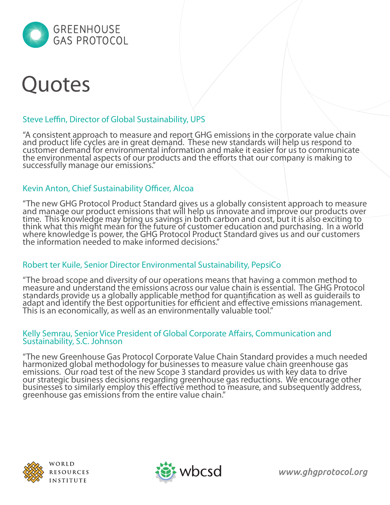

# **Quotes**

# Steve Leffin, Director of Global Sustainability, UPS

"A consistent approach to measure and report GHG emissions in the corporate value chain and product life cycles are in great demand. These new standards will help us respond to customer demand for environmental information and make it easier for us to communicate the environmental aspects of our products and the efforts that our company is making to successfully manage our emissions."

### Kevin Anton, Chief Sustainability Officer, Alcoa

"The new GHG Protocol Product Standard gives us a globally consistent approach to measure and manage our product emissions that will help us innovate and improve our products over time. This knowledge may bring us savings in both carbon and cost, but it is also exciting to think what this might mean for the future of customer education and purchasing. In a world where knowledge is power, the GHG Protocol Product Standard gives us and our customers the information needed to make informed decisions."

#### Robert ter Kuile, Senior Director Environmental Sustainability, PepsiCo

"The broad scope and diversity of our operations means that having a common method to measure and understand the emissions across our value chain is essential. The GHG Protocol standards provide us a globally applicable method for quantification as well as guiderails to adapt and identify the best opportunities for efficient and effective emissions management. This is an economically, as well as an environmentally valuable tool."

#### Kelly Semrau, Senior Vice President of Global Corporate Affairs, Communication and Sustainability, S.C. Johnson

"The new Greenhouse Gas Protocol Corporate Value Chain Standard provides a much needed harmonized global methodology for businesses to measure value chain greenhouse gas emissions. Our road test of the new Scope 3 standard provides us with key data to drive our strategic business decisions regarding greenhouse gas reductions. We encourage other businesses to similarly employ this effective method to measure, and subsequently address, greenhouse gas emissions from the entire value chain."



WORLD RESOURCES **INSTITUTE** 



www.ghgprotocol.org